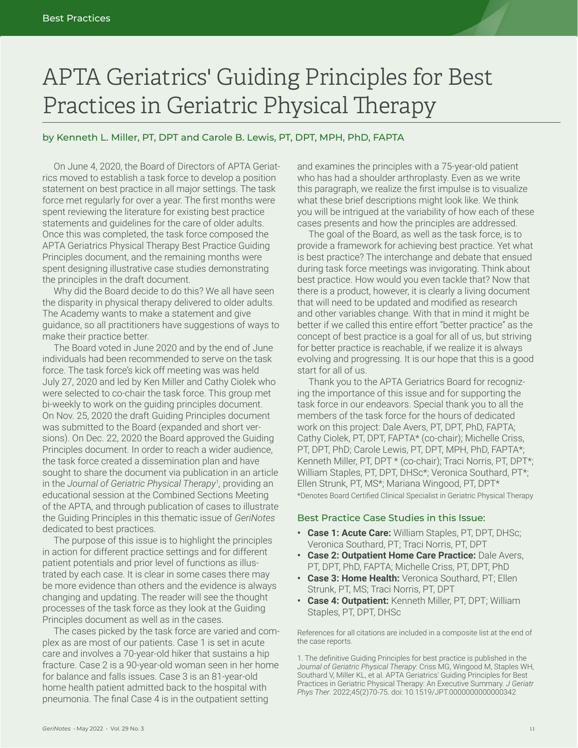# APTA Geriatrics' Guiding Principles for Best Practices in Geriatric Physical Therapy

# by Kenneth L. Miller, PT, DPT and Carole B. Lewis, PT, DPT, MPH, PhD, FAPTA

On June 4, 2020, the Board of Directors of APTA Geriatrics moved to establish a task force to develop a position statement on best practice in all major settings. The task force met regularly for over a year. The first months were spent reviewing the literature for existing best practice statements and guidelines for the care of older adults. Once this was completed, the task force composed the APTA Geriatrics Physical Therapy Best Practice Guiding Principles document, and the remaining months were spent designing illustrative case studies demonstrating the principles in the draft document.

Why did the Board decide to do this? We all have seen the disparity in physical therapy delivered to older adults. The Academy wants to make a statement and give guidance, so all practitioners have suggestions of ways to make their practice better.

The Board voted in June 2020 and by the end of June individuals had been recommended to serve on the task force. The task force's kick off meeting was was held July 27, 2020 and led by Ken Miller and Cathy Ciolek who were selected to co-chair the task force. This group met bi-weekly to work on the guiding principles document. On Nov. 25, 2020 the draft Guiding Principles document was submitted to the Board (expanded and short versions). On Dec. 22, 2020 the Board approved the Guiding Principles document. In order to reach a wider audience, the task force created a dissemination plan and have sought to share the document via publication in an article in the *Journal of Geriatric Physical Therapy*<sup>1</sup> *,* providing an educational session at the Combined Sections Meeting of the APTA, and through publication of cases to illustrate the Guiding Principles in this thematic issue of *GeriNotes*  dedicated to best practices.

The purpose of this issue is to highlight the principles in action for different practice settings and for different patient potentials and prior level of functions as illustrated by each case. It is clear in some cases there may be more evidence than others and the evidence is always changing and updating. The reader will see the thought processes of the task force as they look at the Guiding Principles document as well as in the cases.

The cases picked by the task force are varied and complex as are most of our patients. Case 1 is set in acute care and involves a 70-year-old hiker that sustains a hip fracture. Case 2 is a 90-year-old woman seen in her home for balance and falls issues. Case 3 is an 81-year-old home health patient admitted back to the hospital with pneumonia. The final Case 4 is in the outpatient setting

and examines the principles with a 75-year-old patient who has had a shoulder arthroplasty. Even as we write this paragraph, we realize the first impulse is to visualize what these brief descriptions might look like. We think you will be intrigued at the variability of how each of these cases presents and how the principles are addressed.

The goal of the Board, as well as the task force, is to provide a framework for achieving best practice. Yet what is best practice? The interchange and debate that ensued during task force meetings was invigorating. Think about best practice. How would you even tackle that? Now that there is a product, however, it is clearly a living document that will need to be updated and modified as research and other variables change. With that in mind it might be better if we called this entire effort "better practice" as the concept of best practice is a goal for all of us, but striving for better practice is reachable, if we realize it is always evolving and progressing. It is our hope that this is a good start for all of us.

Thank you to the APTA Geriatrics Board for recognizing the importance of this issue and for supporting the task force in our endeavors. Special thank you to all the members of the task force for the hours of dedicated work on this project: Dale Avers, PT, DPT, PhD, FAPTA; Cathy Ciolek, PT, DPT, FAPTA\* (co-chair); Michelle Criss, PT, DPT, PhD; Carole Lewis, PT, DPT, MPH, PhD, FAPTA\*; Kenneth Miller, PT, DPT \* (co-chair); Traci Norris, PT, DPT\*; William Staples, PT, DPT, DHSc\*; Veronica Southard, PT\*; Ellen Strunk, PT, MS\*; Mariana Wingood, PT, DPT\* \*Denotes Board Certified Clinical Specialist in Geriatric Physical Therapy

#### Best Practice Case Studies in this Issue:

- **• Case 1: Acute Care:** William Staples, PT, DPT, DHSc; Veronica Southard, PT; Traci Norris, PT, DPT
- **• Case 2: Outpatient Home Care Practice:** Dale Avers, PT, DPT, PhD, FAPTA; Michelle Criss, PT, DPT, PhD
- **• Case 3: Home Health:** Veronica Southard, PT; Ellen Strunk, PT, MS; Traci Norris, PT, DPT
- **• Case 4: Outpatient:** Kenneth Miller, PT, DPT; William Staples, PT, DPT, DHSc

References for all citations are included in a composite list at the end of the case reports.

1. The definitive Guiding Principles for best practice is published in the *Journal of Geriatric Physical Therapy*: Criss MG, Wingood M, Staples WH, Southard V, Miller KL, et al. APTA Geriatrics' Guiding Principles for Best Practices in Geriatric Physical Therapy: An Executive Summary. *J Geriatr Phys Ther*. 2022;45(2)70-75. doi: 10.1519/JPT.0000000000000342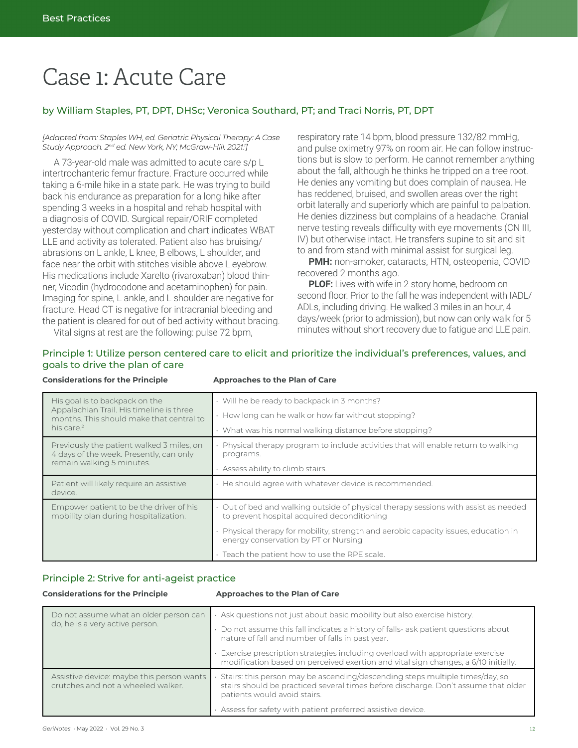# Case 1: Acute Care

# by William Staples, PT, DPT, DHSc; Veronica Southard, PT; and Traci Norris, PT, DPT

#### *[Adapted from: Staples WH, ed. Geriatric Physical Therapy: A Case Study Approach. 2nd ed. New York, NY; McGraw-Hill. 2021.1 ]*

A 73-year-old male was admitted to acute care s/p L intertrochanteric femur fracture. Fracture occurred while taking a 6-mile hike in a state park. He was trying to build back his endurance as preparation for a long hike after spending 3 weeks in a hospital and rehab hospital with a diagnosis of COVID. Surgical repair/ORIF completed yesterday without complication and chart indicates WBAT LLE and activity as tolerated. Patient also has bruising/ abrasions on L ankle, L knee, B elbows, L shoulder, and face near the orbit with stitches visible above L eyebrow. His medications include Xarelto (rivaroxaban) blood thinner, Vicodin (hydrocodone and acetaminophen) for pain. Imaging for spine, L ankle, and L shoulder are negative for fracture. Head CT is negative for intracranial bleeding and the patient is cleared for out of bed activity without bracing. respiratory rate 14 bpm, blood pressure 132/82 mmHg, and pulse oximetry 97% on room air. He can follow instructions but is slow to perform. He cannot remember anything about the fall, although he thinks he tripped on a tree root. He denies any vomiting but does complain of nausea. He has reddened, bruised, and swollen areas over the right orbit laterally and superiorly which are painful to palpation. He denies dizziness but complains of a headache. Cranial nerve testing reveals difficulty with eye movements (CN III, IV) but otherwise intact. He transfers supine to sit and sit to and from stand with minimal assist for surgical leg.

**PMH:** non-smoker, cataracts, HTN, osteopenia, COVID recovered 2 months ago.

**PLOF:** Lives with wife in 2 story home, bedroom on second floor. Prior to the fall he was independent with IADL/ ADLs, including driving. He walked 3 miles in an hour, 4 days/week (prior to admission), but now can only walk for 5 minutes without short recovery due to fatigue and LLE pain.

Vital signs at rest are the following: pulse 72 bpm,

# Principle 1: Utilize person centered care to elicit and prioritize the individual's preferences, values, and goals to drive the plan of care

#### **Considerations for the Principle Approaches to the Plan of Care**

| His goal is to backpack on the<br>Appalachian Trail. His timeline is three<br>months. This should make that central to | · Will he be ready to backpack in 3 months?                                                                                      |
|------------------------------------------------------------------------------------------------------------------------|----------------------------------------------------------------------------------------------------------------------------------|
|                                                                                                                        | How long can he walk or how far without stopping?                                                                                |
| his care. <sup>2</sup>                                                                                                 | What was his normal walking distance before stopping?                                                                            |
| Previously the patient walked 3 miles, on<br>4 days of the week. Presently, can only<br>remain walking 5 minutes.      | Physical therapy program to include activities that will enable return to walking<br>programs.                                   |
|                                                                                                                        | Assess ability to climb stairs.                                                                                                  |
| Patient will likely require an assistive                                                                               |                                                                                                                                  |
| device.                                                                                                                | He should agree with whatever device is recommended.                                                                             |
| Empower patient to be the driver of his<br>mobility plan during hospitalization.                                       | Out of bed and walking outside of physical therapy sessions with assist as needed<br>to prevent hospital acquired deconditioning |
|                                                                                                                        | Physical therapy for mobility, strength and aerobic capacity issues, education in<br>energy conservation by PT or Nursing        |

## Principle 2: Strive for anti-ageist practice

#### **Considerations for the Principle <b>Approaches to the Plan of Care**

| Do not assume what an older person can<br>do, he is a very active person.       | Ask questions not just about basic mobility but also exercise history.                                                                                                                             |
|---------------------------------------------------------------------------------|----------------------------------------------------------------------------------------------------------------------------------------------------------------------------------------------------|
|                                                                                 | Do not assume this fall indicates a history of falls- ask patient questions about<br>nature of fall and number of falls in past year.                                                              |
|                                                                                 | Exercise prescription strategies including overload with appropriate exercise<br>modification based on perceived exertion and vital sign changes, a 6/10 initially.                                |
| Assistive device: maybe this person wants<br>crutches and not a wheeled walker. | Stairs: this person may be ascending/descending steps multiple times/day, so<br>stairs should be practiced several times before discharge. Don't assume that older<br>patients would avoid stairs. |
|                                                                                 | Assess for safety with patient preferred assistive device.                                                                                                                                         |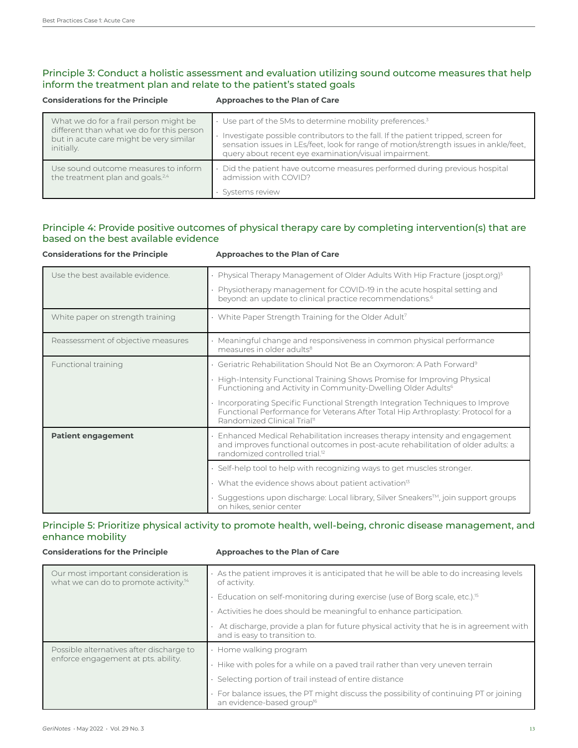# Principle 3: Conduct a holistic assessment and evaluation utilizing sound outcome measures that help inform the treatment plan and relate to the patient's stated goals

| <b>Considerations for the Principle</b>                                                            | Approaches to the Plan of Care                                                                                                                                                                                                      |
|----------------------------------------------------------------------------------------------------|-------------------------------------------------------------------------------------------------------------------------------------------------------------------------------------------------------------------------------------|
| What we do for a frail person might be                                                             | $\cdot$ Use part of the 5Ms to determine mobility preferences. <sup>3</sup>                                                                                                                                                         |
| different than what we do for this person<br>but in acute care might be very similar<br>initially. | Investigate possible contributors to the fall. If the patient tripped, screen for<br>sensation issues in LEs/feet, look for range of motion/strength issues in ankle/feet,<br>query about recent eye examination/visual impairment. |
| Use sound outcome measures to inform<br>the treatment plan and goals. <sup>2,4</sup>               | Did the patient have outcome measures performed during previous hospital<br>admission with COVID?                                                                                                                                   |
|                                                                                                    | Systems review                                                                                                                                                                                                                      |

# Principle 4: Provide positive outcomes of physical therapy care by completing intervention(s) that are based on the best available evidence

| <b>Considerations for the Principle</b> | Approaches to the Plan of Care                                                                                                                                                                                                                |
|-----------------------------------------|-----------------------------------------------------------------------------------------------------------------------------------------------------------------------------------------------------------------------------------------------|
| Use the best available evidence.        | • Physical Therapy Management of Older Adults With Hip Fracture (jospt.org) <sup>5</sup><br>· Physiotherapy management for COVID-19 in the acute hospital setting and<br>beyond: an update to clinical practice recommendations. <sup>6</sup> |
| White paper on strength training        | $\cdot$ White Paper Strength Training for the Older Adult <sup>7</sup>                                                                                                                                                                        |
| Reassessment of objective measures      | Meaningful change and responsiveness in common physical performance<br>measures in older adults <sup>8</sup>                                                                                                                                  |
| <b>Functional training</b>              | • Geriatric Rehabilitation Should Not Be an Oxymoron: A Path Forward <sup>9</sup>                                                                                                                                                             |
|                                         | • High-Intensity Functional Training Shows Promise for Improving Physical<br>Functioning and Activity in Community-Dwelling Older Adults <sup>6</sup>                                                                                         |
|                                         | · Incorporating Specific Functional Strength Integration Techniques to Improve<br>Functional Performance for Veterans After Total Hip Arthroplasty: Protocol for a<br>Randomized Clinical Trial <sup>11</sup>                                 |
| <b>Patient engagement</b>               | Enhanced Medical Rehabilitation increases therapy intensity and engagement<br>and improves functional outcomes in post-acute rehabilitation of older adults: a<br>randomized controlled trial. <sup>12</sup>                                  |
|                                         | . Self-help tool to help with recognizing ways to get muscles stronger.                                                                                                                                                                       |
|                                         | $\cdot$ What the evidence shows about patient activation <sup>13</sup>                                                                                                                                                                        |
|                                         | Suggestions upon discharge: Local library, Silver Sneakers™, join support groups<br>on hikes, senior center                                                                                                                                   |

## Principle 5: Prioritize physical activity to promote health, well-being, chronic disease management, and enhance mobility

#### **Considerations for the Principle Approaches to the Plan of Care**

| Our most important consideration is<br>what we can do to promote activity. <sup>14</sup> | As the patient improves it is anticipated that he will be able to do increasing levels<br>of activity.                          |
|------------------------------------------------------------------------------------------|---------------------------------------------------------------------------------------------------------------------------------|
|                                                                                          | • Education on self-monitoring during exercise (use of Borg scale, etc.). <sup>15</sup>                                         |
|                                                                                          | $\cdot$ Activities he does should be meaningful to enhance participation.                                                       |
|                                                                                          | At discharge, provide a plan for future physical activity that he is in agreement with<br>and is easy to transition to.         |
| Possible alternatives after discharge to<br>enforce engagement at pts. ability.          | • Home walking program                                                                                                          |
|                                                                                          | . Hike with poles for a while on a paved trail rather than very uneven terrain                                                  |
|                                                                                          | · Selecting portion of trail instead of entire distance                                                                         |
|                                                                                          | · For balance issues, the PT might discuss the possibility of continuing PT or joining<br>an evidence-based group <sup>16</sup> |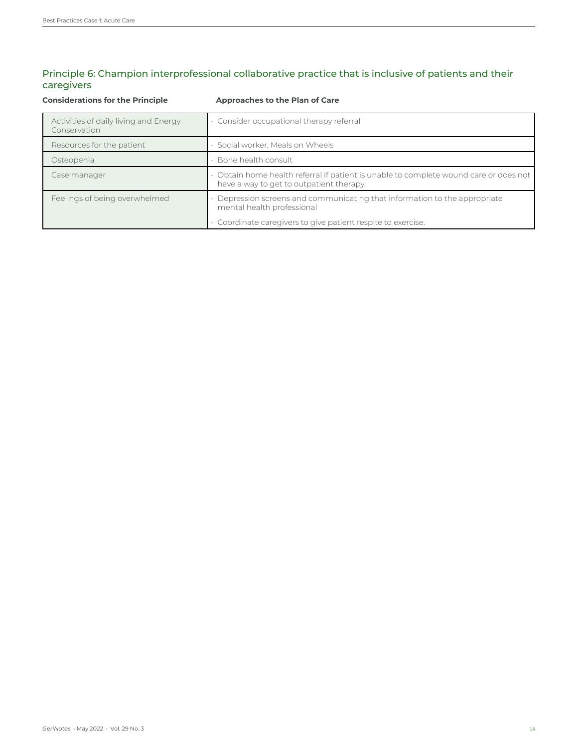# Principle 6: Champion interprofessional collaborative practice that is inclusive of patients and their caregivers

| <b>Considerations for the Principle</b>               | Approaches to the Plan of Care                                                                                                  |
|-------------------------------------------------------|---------------------------------------------------------------------------------------------------------------------------------|
| Activities of daily living and Energy<br>Conservation | Consider occupational therapy referral                                                                                          |
| Resources for the patient                             | Social worker, Meals on Wheels                                                                                                  |
| Osteopenia                                            | Bone health consult                                                                                                             |
| Case manager                                          | Obtain home health referral if patient is unable to complete wound care or does not<br>have a way to get to outpatient therapy. |
| Feelings of being overwhelmed                         | Depression screens and communicating that information to the appropriate<br>mental health professional                          |
|                                                       | Coordinate caregivers to give patient respite to exercise.                                                                      |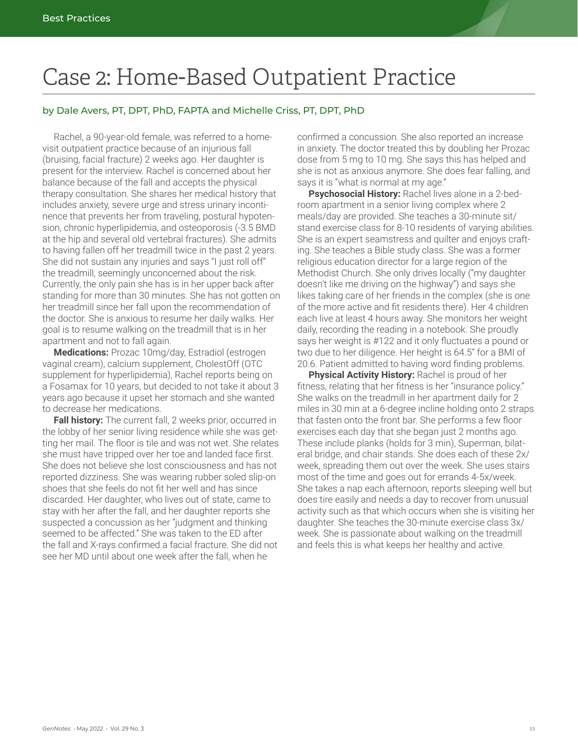# Case 2: Home-Based Outpatient Practice

# by Dale Avers, PT, DPT, PhD, FAPTA and Michelle Criss, PT, DPT, PhD

Rachel, a 90-year-old female, was referred to a homevisit outpatient practice because of an injurious fall (bruising, facial fracture) 2 weeks ago. Her daughter is present for the interview. Rachel is concerned about her balance because of the fall and accepts the physical therapy consultation. She shares her medical history that includes anxiety, severe urge and stress urinary incontinence that prevents her from traveling, postural hypotension, chronic hyperlipidemia, and osteoporosis (-3.5 BMD at the hip and several old vertebral fractures). She admits to having fallen off her treadmill twice in the past 2 years. She did not sustain any injuries and says "I just roll off" the treadmill, seemingly unconcerned about the risk. Currently, the only pain she has is in her upper back after standing for more than 30 minutes. She has not gotten on her treadmill since her fall upon the recommendation of the doctor. She is anxious to resume her daily walks. Her goal is to resume walking on the treadmill that is in her apartment and not to fall again.

**Medications:** Prozac 10mg/day, Estradiol (estrogen vaginal cream), calcium supplement, CholestOff (OTC supplement for hyperlipidemia), Rachel reports being on a Fosamax for 10 years, but decided to not take it about 3 years ago because it upset her stomach and she wanted to decrease her medications.

**Fall history:** The current fall, 2 weeks prior, occurred in the lobby of her senior living residence while she was getting her mail. The floor is tile and was not wet. She relates she must have tripped over her toe and landed face first. She does not believe she lost consciousness and has not reported dizziness. She was wearing rubber soled slip-on shoes that she feels do not fit her well and has since discarded. Her daughter, who lives out of state, came to stay with her after the fall, and her daughter reports she suspected a concussion as her "judgment and thinking seemed to be affected." She was taken to the ED after the fall and X-rays confirmed a facial fracture. She did not see her MD until about one week after the fall, when he

confirmed a concussion. She also reported an increase in anxiety. The doctor treated this by doubling her Prozac dose from 5 mg to 10 mg. She says this has helped and she is not as anxious anymore. She does fear falling, and says it is "what is normal at my age."

**Psychosocial History:** Rachel lives alone in a 2-bedroom apartment in a senior living complex where 2 meals/day are provided. She teaches a 30-minute sit/ stand exercise class for 8-10 residents of varying abilities. She is an expert seamstress and quilter and enjoys crafting. She teaches a Bible study class. She was a former religious education director for a large region of the Methodist Church. She only drives locally ("my daughter doesn't like me driving on the highway") and says she likes taking care of her friends in the complex (she is one of the more active and fit residents there). Her 4 children each live at least 4 hours away. She monitors her weight daily, recording the reading in a notebook. She proudly says her weight is #122 and it only fluctuates a pound or two due to her diligence. Her height is 64.5" for a BMI of 20.6. Patient admitted to having word finding problems.

**Physical Activity History:** Rachel is proud of her fitness, relating that her fitness is her "insurance policy." She walks on the treadmill in her apartment daily for 2 miles in 30 min at a 6-degree incline holding onto 2 straps that fasten onto the front bar. She performs a few floor exercises each day that she began just 2 months ago. These include planks (holds for 3 min), Superman, bilateral bridge, and chair stands. She does each of these 2x/ week, spreading them out over the week. She uses stairs most of the time and goes out for errands 4-5x/week. She takes a nap each afternoon, reports sleeping well but does tire easily and needs a day to recover from unusual activity such as that which occurs when she is visiting her daughter. She teaches the 30-minute exercise class 3x/ week. She is passionate about walking on the treadmill and feels this is what keeps her healthy and active.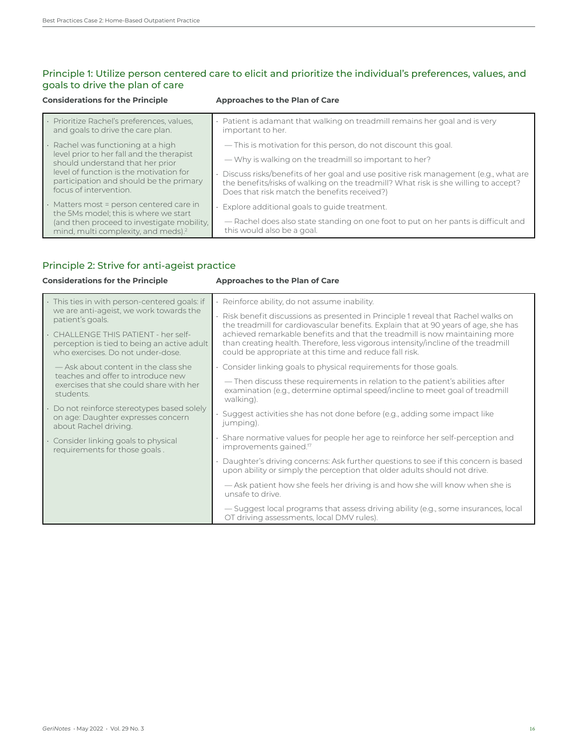# Principle 1: Utilize person centered care to elicit and prioritize the individual's preferences, values, and goals to drive the plan of care

| <b>Considerations for the Principle</b>                                                                      | Approaches to the Plan of Care                                                                                                                                                                                             |
|--------------------------------------------------------------------------------------------------------------|----------------------------------------------------------------------------------------------------------------------------------------------------------------------------------------------------------------------------|
| · Prioritize Rachel's preferences, values,<br>and goals to drive the care plan.                              | . Patient is adamant that walking on treadmill remains her goal and is very<br>important to her.                                                                                                                           |
| Rachel was functioning at a high                                                                             | — This is motivation for this person, do not discount this goal.                                                                                                                                                           |
| level prior to her fall and the therapist<br>should understand that her prior                                | - Why is walking on the treadmill so important to her?                                                                                                                                                                     |
| level of function is the motivation for<br>participation and should be the primary<br>focus of intervention. | Discuss risks/benefits of her goal and use positive risk management (e.g., what are<br>the benefits/risks of walking on the treadmill? What risk is she willing to accept?<br>Does that risk match the benefits received?) |
| · Matters most = person centered care in<br>the 5Ms model; this is where we start                            | $\cdot$ Explore additional goals to quide treatment.                                                                                                                                                                       |
| (and then proceed to investigate mobility,<br>mind, multi complexity, and meds). <sup>2</sup>                | - Rachel does also state standing on one foot to put on her pants is difficult and<br>this would also be a goal.                                                                                                           |

# Principle 2: Strive for anti-ageist practice

# **Considerations for the Principle <b>Approaches to the Plan of Care**

| This ties in with person-centered goals: if                                                                            | $\cdot$ Reinforce ability, do not assume inability.                                                                                                                                                                         |
|------------------------------------------------------------------------------------------------------------------------|-----------------------------------------------------------------------------------------------------------------------------------------------------------------------------------------------------------------------------|
| we are anti-ageist, we work towards the<br>patient's goals.                                                            | $\cdot$ Risk benefit discussions as presented in Principle 1 reveal that Rachel walks on<br>the treadmill for cardiovascular benefits. Explain that at 90 years of age, she has                                             |
| CHALLENGE THIS PATIENT - her self-<br>perception is tied to being an active adult<br>who exercises. Do not under-dose. | achieved remarkable benefits and that the treadmill is now maintaining more<br>than creating health. Therefore, less vigorous intensity/incline of the treadmill<br>could be appropriate at this time and reduce fall risk. |
| - Ask about content in the class she                                                                                   | . Consider linking goals to physical requirements for those goals.                                                                                                                                                          |
| teaches and offer to introduce new<br>exercises that she could share with her<br>students.                             | - Then discuss these requirements in relation to the patient's abilities after<br>examination (e.g., determine optimal speed/incline to meet goal of treadmill<br>walking).                                                 |
| Do not reinforce stereotypes based solely<br>on age: Daughter expresses concern<br>about Rachel driving.               | Suggest activities she has not done before (e.g., adding some impact like<br>jumping).                                                                                                                                      |
| Consider linking goals to physical<br>requirements for those goals.                                                    | · Share normative values for people her age to reinforce her self-perception and<br>improvements gained. <sup>17</sup>                                                                                                      |
|                                                                                                                        | Daughter's driving concerns: Ask further questions to see if this concern is based<br>upon ability or simply the perception that older adults should not drive.                                                             |
|                                                                                                                        | - Ask patient how she feels her driving is and how she will know when she is<br>unsafe to drive.                                                                                                                            |
|                                                                                                                        | — Suggest local programs that assess driving ability (e.g., some insurances, local<br>OT driving assessments, local DMV rules).                                                                                             |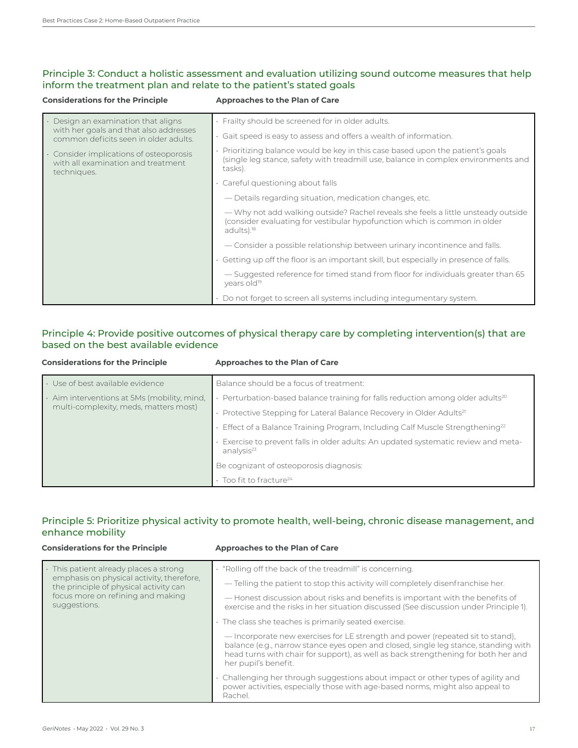# Principle 3: Conduct a holistic assessment and evaluation utilizing sound outcome measures that help inform the treatment plan and relate to the patient's stated goals

#### **Considerations for the Principle Approaches to the Plan of Care**

| Design an examination that aligns                                                                   | Frailty should be screened for in older adults.                                                                                                                                          |
|-----------------------------------------------------------------------------------------------------|------------------------------------------------------------------------------------------------------------------------------------------------------------------------------------------|
| with her goals and that also addresses<br>common deficits seen in older adults.                     | Gait speed is easy to assess and offers a wealth of information.                                                                                                                         |
| $\cdot$ Consider implications of osteoporosis<br>with all examination and treatment.<br>techniques. | Prioritizing balance would be key in this case based upon the patient's goals<br>(single leg stance, safety with treadmill use, balance in complex environments and<br>tasks).           |
|                                                                                                     | · Careful questioning about falls                                                                                                                                                        |
|                                                                                                     | — Details regarding situation, medication changes, etc.                                                                                                                                  |
|                                                                                                     | — Why not add walking outside? Rachel reveals she feels a little unsteady outside<br>(consider evaluating for vestibular hypofunction which is common in older<br>adults). <sup>18</sup> |
|                                                                                                     | - Consider a possible relationship between urinary incontinence and falls.                                                                                                               |
|                                                                                                     | Getting up off the floor is an important skill, but especially in presence of falls.                                                                                                     |
|                                                                                                     | - Suggested reference for timed stand from floor for individuals greater than 65<br>years old <sup>19</sup>                                                                              |
|                                                                                                     | Do not forget to screen all systems including integumentary system.                                                                                                                      |

# Principle 4: Provide positive outcomes of physical therapy care by completing intervention(s) that are based on the best available evidence

| <b>Considerations for the Principle</b>                                              | Approaches to the Plan of Care                                                                              |
|--------------------------------------------------------------------------------------|-------------------------------------------------------------------------------------------------------------|
| · Use of best available evidence                                                     | Balance should be a focus of treatment:                                                                     |
| · Aim interventions at 5Ms (mobility, mind,<br>multi-complexity, meds, matters most) | $\cdot$ Perturbation-based balance training for falls reduction among older adults <sup>20</sup>            |
|                                                                                      | Protective Stepping for Lateral Balance Recovery in Older Adults <sup>21</sup>                              |
|                                                                                      | $\cdot$ Effect of a Balance Training Program, Including Calf Muscle Strengthening <sup>22</sup>             |
|                                                                                      | Exercise to prevent falls in older adults: An updated systematic review and meta-<br>analysis <sup>23</sup> |
|                                                                                      | Be cognizant of osteoporosis diagnosis:                                                                     |
|                                                                                      | $\cdot$ Too fit to fracture <sup>24</sup>                                                                   |

# Principle 5: Prioritize physical activity to promote health, well-being, chronic disease management, and enhance mobility

| <b>Considerations for the Principle</b>                                                                                                                                            | Approaches to the Plan of Care                                                                                                                                                                                                                                                      |
|------------------------------------------------------------------------------------------------------------------------------------------------------------------------------------|-------------------------------------------------------------------------------------------------------------------------------------------------------------------------------------------------------------------------------------------------------------------------------------|
| · This patient already places a strong<br>emphasis on physical activity, therefore,<br>the principle of physical activity can<br>focus more on refining and making<br>suggestions. | . "Rolling off the back of the treadmill" is concerning.                                                                                                                                                                                                                            |
|                                                                                                                                                                                    | - Telling the patient to stop this activity will completely disenfranchise her.                                                                                                                                                                                                     |
|                                                                                                                                                                                    | - Honest discussion about risks and benefits is important with the benefits of<br>exercise and the risks in her situation discussed (See discussion under Principle 1).                                                                                                             |
|                                                                                                                                                                                    | · The class she teaches is primarily seated exercise.                                                                                                                                                                                                                               |
|                                                                                                                                                                                    | - Incorporate new exercises for LE strength and power (repeated sit to stand).<br>balance (e.g., narrow stance eyes open and closed, single leg stance, standing with<br>head turns with chair for support), as well as back strengthening for both her and<br>her pupil's benefit. |
|                                                                                                                                                                                    | · Challenging her through suggestions about impact or other types of agility and<br>power activities, especially those with age-based norms, might also appeal to<br>Rachel.                                                                                                        |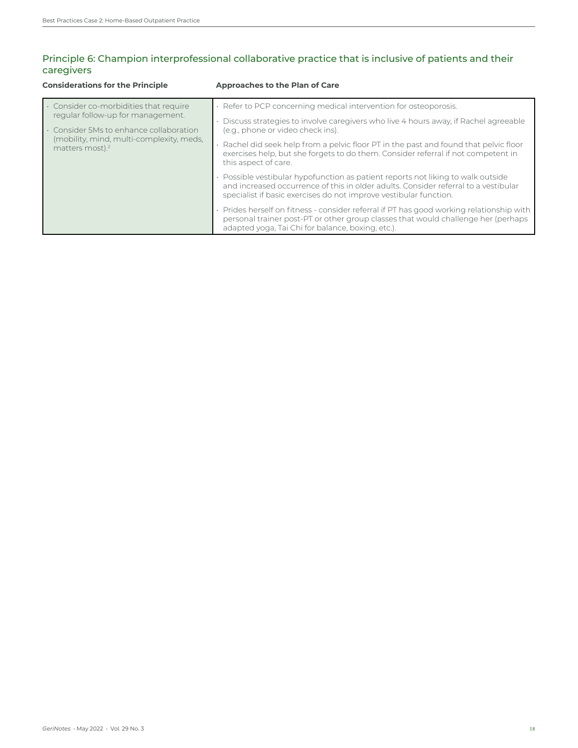# Principle 6: Champion interprofessional collaborative practice that is inclusive of patients and their caregivers

| <b>Considerations for the Principle</b>                                                                                                                                                         | Approaches to the Plan of Care                                                                                                                                                                                                                                                                                                                                                                                                                                                                                                                                                                                                                                                                                                                                                                                                                                                         |
|-------------------------------------------------------------------------------------------------------------------------------------------------------------------------------------------------|----------------------------------------------------------------------------------------------------------------------------------------------------------------------------------------------------------------------------------------------------------------------------------------------------------------------------------------------------------------------------------------------------------------------------------------------------------------------------------------------------------------------------------------------------------------------------------------------------------------------------------------------------------------------------------------------------------------------------------------------------------------------------------------------------------------------------------------------------------------------------------------|
| Consider co-morbidities that require<br>regular follow-up for management.<br>. Consider 5Ms to enhance collaboration<br>(mobility, mind, multi-complexity, meds,<br>matters most). <sup>2</sup> | · Refer to PCP concerning medical intervention for osteoporosis.<br>Discuss strategies to involve caregivers who live 4 hours away, if Rachel agreeable<br>(e.g., phone or video check ins).<br>Rachel did seek help from a pelvic floor PT in the past and found that pelvic floor<br>exercises help, but she forgets to do them. Consider referral if not competent in<br>this aspect of care.<br>· Possible vestibular hypofunction as patient reports not liking to walk outside<br>and increased occurrence of this in older adults. Consider referral to a vestibular<br>specialist if basic exercises do not improve vestibular function.<br>. Prides herself on fitness - consider referral if PT has good working relationship with<br>personal trainer post-PT or other group classes that would challenge her (perhaps<br>adapted yoga, Tai Chi for balance, boxing, etc.). |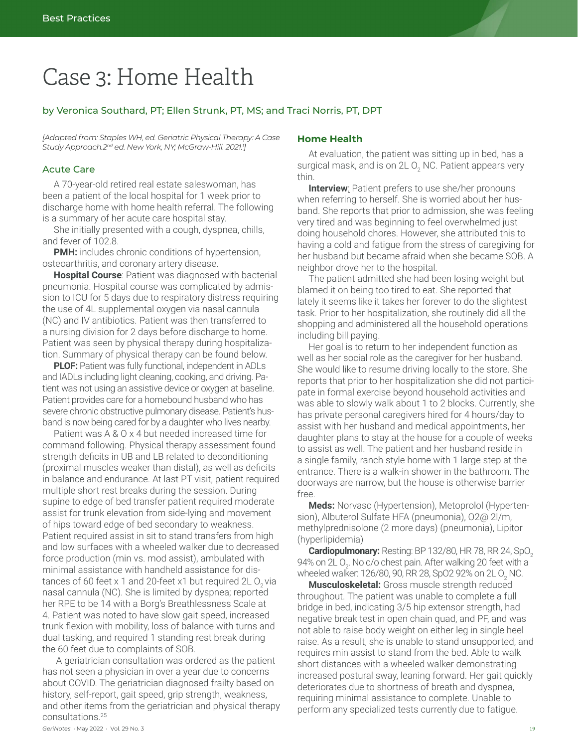# Case 3: Home Health

## by Veronica Southard, PT; Ellen Strunk, PT, MS; and Traci Norris, PT, DPT

*[Adapted from: Staples WH, ed. Geriatric Physical Therapy: A Case Study Approach.2nd ed. New York, NY; McGraw-Hill. 2021.1 ]*

### Acute Care

A 70-year-old retired real estate saleswoman, has been a patient of the local hospital for 1 week prior to discharge home with home health referral. The following is a summary of her acute care hospital stay.

She initially presented with a cough, dyspnea, chills, and fever of 102.8.

**PMH:** includes chronic conditions of hypertension, osteoarthritis, and coronary artery disease.

**Hospital Course**: Patient was diagnosed with bacterial pneumonia. Hospital course was complicated by admission to ICU for 5 days due to respiratory distress requiring the use of 4L supplemental oxygen via nasal cannula (NC) and IV antibiotics. Patient was then transferred to a nursing division for 2 days before discharge to home. Patient was seen by physical therapy during hospitalization. Summary of physical therapy can be found below.

**PLOF:** Patient was fully functional, independent in ADLs and IADLs including light cleaning, cooking, and driving. Patient was not using an assistive device or oxygen at baseline. Patient provides care for a homebound husband who has severe chronic obstructive pulmonary disease. Patient's husband is now being cared for by a daughter who lives nearby.

Patient was A & O x 4 but needed increased time for command following. Physical therapy assessment found strength deficits in UB and LB related to deconditioning (proximal muscles weaker than distal), as well as deficits in balance and endurance. At last PT visit, patient required multiple short rest breaks during the session. During supine to edge of bed transfer patient required moderate assist for trunk elevation from side-lying and movement of hips toward edge of bed secondary to weakness. Patient required assist in sit to stand transfers from high and low surfaces with a wheeled walker due to decreased force production (min vs. mod assist), ambulated with minimal assistance with handheld assistance for distances of 60 feet  $x$  1 and 20-feet  $x$ 1 but required 2L O<sub>2</sub> via nasal cannula (NC). She is limited by dyspnea; reported her RPE to be 14 with a Borg's Breathlessness Scale at 4. Patient was noted to have slow gait speed, increased trunk flexion with mobility, loss of balance with turns and dual tasking, and required 1 standing rest break during the 60 feet due to complaints of SOB.

 A geriatrician consultation was ordered as the patient has not seen a physician in over a year due to concerns about COVID. The geriatrician diagnosed frailty based on history, self-report, gait speed, grip strength, weakness, and other items from the geriatrician and physical therapy consultations.25

### **Home Health**

At evaluation, the patient was sitting up in bed, has a surgical mask, and is on 2L O<sub>2</sub> NC. Patient appears very thin.

**Interview**: Patient prefers to use she/her pronouns when referring to herself. She is worried about her husband. She reports that prior to admission, she was feeling very tired and was beginning to feel overwhelmed just doing household chores. However, she attributed this to having a cold and fatigue from the stress of caregiving for her husband but became afraid when she became SOB. A neighbor drove her to the hospital.

The patient admitted she had been losing weight but blamed it on being too tired to eat. She reported that lately it seems like it takes her forever to do the slightest task. Prior to her hospitalization, she routinely did all the shopping and administered all the household operations including bill paying.

Her goal is to return to her independent function as well as her social role as the caregiver for her husband. She would like to resume driving locally to the store. She reports that prior to her hospitalization she did not participate in formal exercise beyond household activities and was able to slowly walk about 1 to 2 blocks. Currently, she has private personal caregivers hired for 4 hours/day to assist with her husband and medical appointments, her daughter plans to stay at the house for a couple of weeks to assist as well. The patient and her husband reside in a single family, ranch style home with 1 large step at the entrance. There is a walk-in shower in the bathroom. The doorways are narrow, but the house is otherwise barrier free.

**Meds:** Norvasc (Hypertension), Metoprolol (Hypertension), Albuterol Sulfate HFA (pneumonia), O2@ 2l/m, methylprednisolone (2 more days) (pneumonia), Lipitor (hyperlipidemia)

Cardiopulmonary: Resting: BP 132/80, HR 78, RR 24, SpO<sub>2</sub> 94% on 2L O $_{\textrm{\tiny{2}}}$ . No c/o chest pain. After walking 20 feet with a wheeled walker: 126/80, 90, RR 28, SpO2 92% on 2L O $_{\rm _2}$  NC.

**Musculoskeletal:** Gross muscle strength reduced throughout. The patient was unable to complete a full bridge in bed, indicating 3/5 hip extensor strength, had negative break test in open chain quad, and PF, and was not able to raise body weight on either leg in single heel raise. As a result, she is unable to stand unsupported, and requires min assist to stand from the bed. Able to walk short distances with a wheeled walker demonstrating increased postural sway, leaning forward. Her gait quickly deteriorates due to shortness of breath and dyspnea, requiring minimal assistance to complete. Unable to perform any specialized tests currently due to fatigue.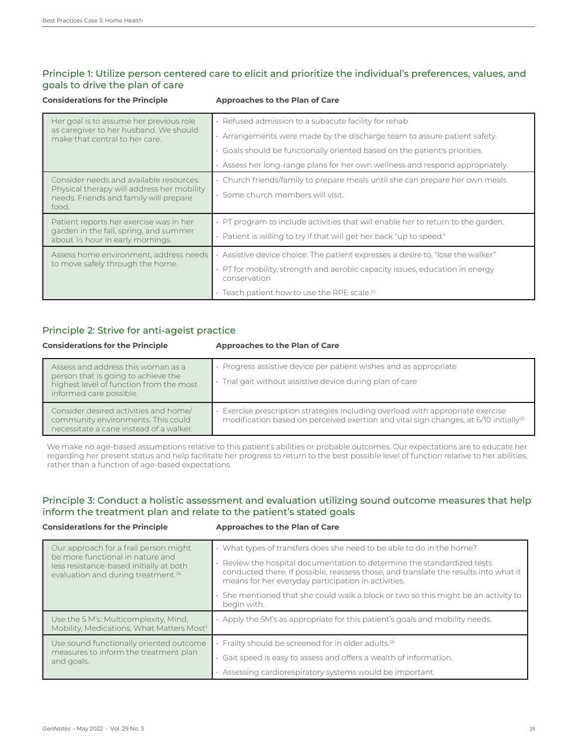# Principle 1: Utilize person centered care to elicit and prioritize the individual's preferences, values, and goals to drive the plan of care

| <b>Considerations for the Principle</b>                                                       | <b>Approaches to the Plan of Care</b>                                                              |
|-----------------------------------------------------------------------------------------------|----------------------------------------------------------------------------------------------------|
| Her goal is to assume her previous role                                                       | $\cdot$ Refused admission to a subacute facility for rehab                                         |
| as caregiver to her husband. We should<br>make that central to her care.                      | $\cdot$ Arrangements were made by the discharge team to assure patient safety.                     |
|                                                                                               | . Goals should be functionally oriented based on the patient's priorities.                         |
|                                                                                               | . Assess her long-range plans for her own wellness and respond appropriately.                      |
| Consider needs and available resources.                                                       | • Church friends/family to prepare meals until she can prepare her own meals                       |
| Physical therapy will address her mobility<br>needs. Friends and family will prepare<br>food. | · Some church members will visit.                                                                  |
| Patient reports her exercise was in her                                                       | . PT program to include activities that will enable her to return to the garden.                   |
| garden in the fall, spring, and summer<br>about 1/2 hour in early mornings.                   | · Patient is willing to try if that will get her back "up to speed."                               |
| Assess home environment, address needs                                                        | · Assistive device choice: The patient expresses a desire to, "lose the walker"                    |
| to move safely through the home.                                                              | $\cdot$ PT for mobility, strength and aerobic capacity issues, education in energy<br>conservation |
|                                                                                               | • Teach patient how to use the RPE scale. <sup>25</sup>                                            |

# Principle 2: Strive for anti-ageist practice

#### **Considerations for the Principle Approaches to the Plan of Care**

| Assess and address this woman as a<br>person that is going to achieve the<br>highest level of function from the most<br>informed care possible. | Progress assistive device per patient wishes and as appropriate<br>Trial gait without assistive device during plan of care                                                        |
|-------------------------------------------------------------------------------------------------------------------------------------------------|-----------------------------------------------------------------------------------------------------------------------------------------------------------------------------------|
| Consider desired activities and home/<br>community environments. This could<br>necessitate a cane instead of a walker.                          | Exercise prescription strategies including overload with appropriate exercise<br>modification based on perceived exertion and vital sign changes, at 6/10 initially <sup>25</sup> |

We make no age-based assumptions relative to this patient's abilities or probable outcomes. Our expectations are to educate her regarding her present status and help facilitate her progress to return to the best possible level of function relative to her abilities, rather than a function of age-based expectations.

# Principle 3: Conduct a holistic assessment and evaluation utilizing sound outcome measures that help inform the treatment plan and relate to the patient's stated goals

### **Considerations for the Principle Approaches to the Plan of Care**

| Our approach for a frail person might<br>be more functional in nature and<br>less resistance-based initially at both<br>evaluation and during treatment. <sup>26</sup> | · What types of transfers does she need to be able to do in the home?<br>Review the hospital documentation to determine the standardized tests<br>conducted there. If possible, reassess those, and translate the results into what it<br>means for her everyday participation in activities. |
|------------------------------------------------------------------------------------------------------------------------------------------------------------------------|-----------------------------------------------------------------------------------------------------------------------------------------------------------------------------------------------------------------------------------------------------------------------------------------------|
|                                                                                                                                                                        | · She mentioned that she could walk a block or two so this might be an activity to<br>begin with.                                                                                                                                                                                             |
| Use the 5 M's: Multicomplexity, Mind.<br>Mobility, Medications, What Matters Most <sup>2</sup>                                                                         | Apply the 5M's as appropriate for this patient's goals and mobility needs.                                                                                                                                                                                                                    |
| Use sound functionally oriented outcome<br>measures to inform the treatment plan                                                                                       | Frailty should be screened for in older adults. <sup>26</sup>                                                                                                                                                                                                                                 |
| and goals.                                                                                                                                                             | · Gait speed is easy to assess and offers a wealth of information.<br>Assessing cardiorespiratory systems would be important.                                                                                                                                                                 |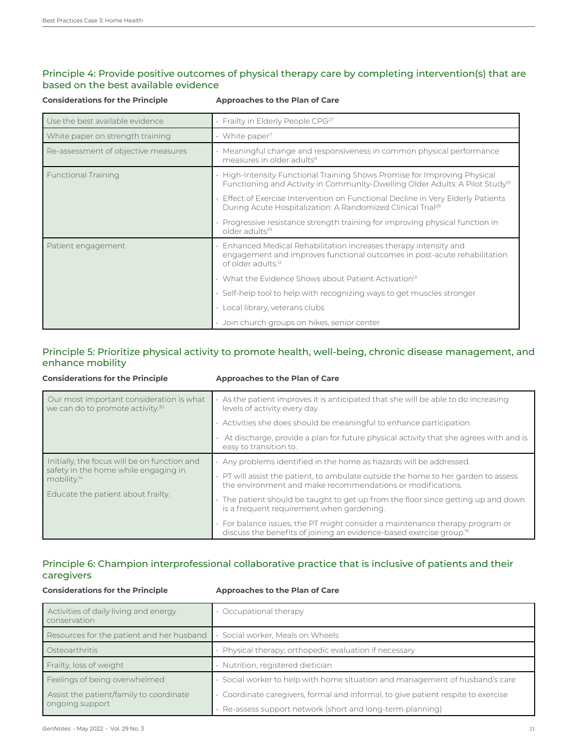# Principle 4: Provide positive outcomes of physical therapy care by completing intervention(s) that are based on the best available evidence

| <b>Considerations for the Principle</b> | <b>Approaches to the Plan of Care</b>                                                                                                                                         |
|-----------------------------------------|-------------------------------------------------------------------------------------------------------------------------------------------------------------------------------|
| Use the best available evidence         | Frailty in Elderly People CPG <sup>27</sup>                                                                                                                                   |
| White paper on strength training        | White paper <sup>7</sup>                                                                                                                                                      |
| Re-assessment of objective measures     | Meaningful change and responsiveness in common physical performance<br>measures in older adults <sup>8</sup>                                                                  |
| <b>Functional Training</b>              | High-Intensity Functional Training Shows Promise for Improving Physical<br>Functioning and Activity in Community-Dwelling Older Adults: A Pilot Study <sup>10</sup>           |
|                                         | Effect of Exercise Intervention on Functional Decline in Very Elderly Patients<br>During Acute Hospitalization: A Randomized Clinical Trial <sup>28</sup>                     |
|                                         | Progressive resistance strength training for improving physical function in<br>older adults <sup>29</sup>                                                                     |
| Patient engagement                      | Enhanced Medical Rehabilitation increases therapy intensity and<br>engagement and improves functional outcomes in post-acute rehabilitation<br>of older adults. <sup>12</sup> |
|                                         | What the Evidence Shows about Patient Activation <sup>13</sup>                                                                                                                |
|                                         | Self-help tool to help with recognizing ways to get muscles stronger                                                                                                          |
|                                         | Local library, veterans clubs                                                                                                                                                 |
|                                         | · Join church groups on hikes, senior center                                                                                                                                  |

# Principle 5: Prioritize physical activity to promote health, well-being, chronic disease management, and enhance mobility

#### **Considerations for the Principle Approaches to the Plan of Care** Our most important consideration is what we can do to promote activity.<sup>30</sup> As the patient improves it is anticipated that she will be able to do increasing levels of activity every day. Activities she does should be meaningful to enhance participation. • At discharge, provide a plan for future physical activity that she agrees with and is easy to transition to. Initially, the focus will be on function and safety in the home while engaging in mobility.<sup>14</sup> Educate the patient about frailty. • Any problems identified in the home as hazards will be addressed. • PT will assist the patient, to ambulate outside the home to her garden to assess the environment and make recommendations or modifications. The patient should be taught to get up from the floor since getting up and down is a frequent requirement when gardening. • For balance issues, the PT might consider a maintenance therapy program or discuss the benefits of joining an evidence-based exercise group.16

# Principle 6: Champion interprofessional collaborative practice that is inclusive of patients and their caregivers

### **Considerations for the Principle Approaches to the Plan of Care**

| Activities of daily living and energy<br>conservation | Occupational therapy                                                            |
|-------------------------------------------------------|---------------------------------------------------------------------------------|
| Resources for the patient and her husband             | Social worker, Meals on Wheels                                                  |
| Osteoarthritis                                        | Physical therapy; orthopedic evaluation if necessary                            |
| Frailty, loss of weight                               | Nutrition, registered dietician                                                 |
| Feelings of being overwhelmed                         | Social worker to help with home situation and management of husband's care      |
| Assist the patient/family to coordinate               | Coordinate caregivers, formal and informal, to give patient respite to exercise |
| ongoing support                                       | Re-assess support network (short and long-term planning)                        |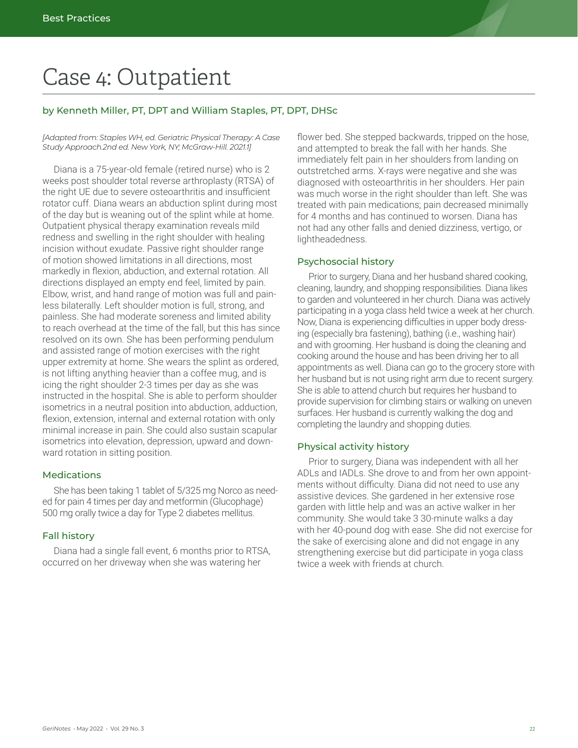# Case 4: Outpatient

## by Kenneth Miller, PT, DPT and William Staples, PT, DPT, DHSc

*[Adapted from: Staples WH, ed. Geriatric Physical Therapy: A Case Study Approach.2nd ed. New York, NY; McGraw-Hill. 2021.1]*

Diana is a 75-year-old female (retired nurse) who is 2 weeks post shoulder total reverse arthroplasty (RTSA) of the right UE due to severe osteoarthritis and insufficient rotator cuff. Diana wears an abduction splint during most of the day but is weaning out of the splint while at home. Outpatient physical therapy examination reveals mild redness and swelling in the right shoulder with healing incision without exudate. Passive right shoulder range of motion showed limitations in all directions, most markedly in flexion, abduction, and external rotation. All directions displayed an empty end feel, limited by pain. Elbow, wrist, and hand range of motion was full and painless bilaterally. Left shoulder motion is full, strong, and painless. She had moderate soreness and limited ability to reach overhead at the time of the fall, but this has since resolved on its own. She has been performing pendulum and assisted range of motion exercises with the right upper extremity at home. She wears the splint as ordered, is not lifting anything heavier than a coffee mug, and is icing the right shoulder 2-3 times per day as she was instructed in the hospital. She is able to perform shoulder isometrics in a neutral position into abduction, adduction, flexion, extension, internal and external rotation with only minimal increase in pain. She could also sustain scapular isometrics into elevation, depression, upward and downward rotation in sitting position.

### **Medications**

She has been taking 1 tablet of 5/325 mg Norco as needed for pain 4 times per day and metformin (Glucophage) 500 mg orally twice a day for Type 2 diabetes mellitus.

### Fall history

Diana had a single fall event, 6 months prior to RTSA, occurred on her driveway when she was watering her

flower bed. She stepped backwards, tripped on the hose, and attempted to break the fall with her hands. She immediately felt pain in her shoulders from landing on outstretched arms. X-rays were negative and she was diagnosed with osteoarthritis in her shoulders. Her pain was much worse in the right shoulder than left. She was treated with pain medications; pain decreased minimally for 4 months and has continued to worsen. Diana has not had any other falls and denied dizziness, vertigo, or lightheadedness.

### Psychosocial history

Prior to surgery, Diana and her husband shared cooking, cleaning, laundry, and shopping responsibilities. Diana likes to garden and volunteered in her church. Diana was actively participating in a yoga class held twice a week at her church. Now, Diana is experiencing difficulties in upper body dressing (especially bra fastening), bathing (i.e., washing hair) and with grooming. Her husband is doing the cleaning and cooking around the house and has been driving her to all appointments as well. Diana can go to the grocery store with her husband but is not using right arm due to recent surgery. She is able to attend church but requires her husband to provide supervision for climbing stairs or walking on uneven surfaces. Her husband is currently walking the dog and completing the laundry and shopping duties.

### Physical activity history

Prior to surgery, Diana was independent with all her ADLs and IADLs. She drove to and from her own appointments without difficulty. Diana did not need to use any assistive devices. She gardened in her extensive rose garden with little help and was an active walker in her community. She would take 3 30-minute walks a day with her 40-pound dog with ease. She did not exercise for the sake of exercising alone and did not engage in any strengthening exercise but did participate in yoga class twice a week with friends at church.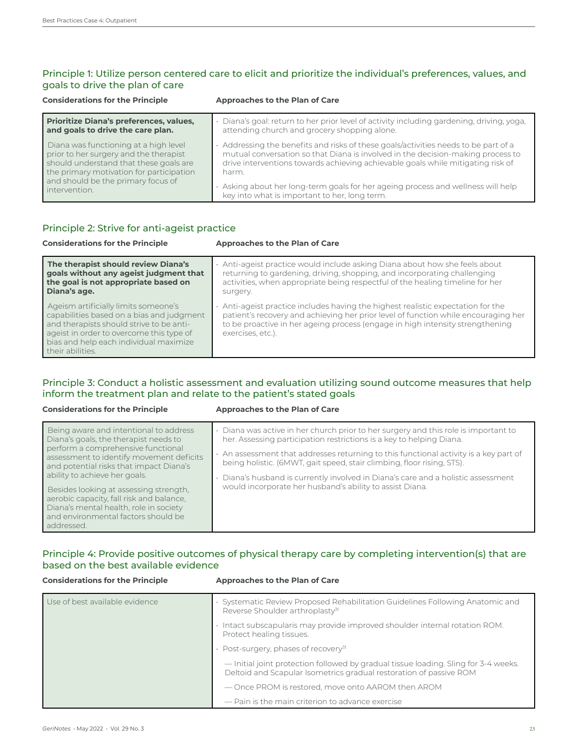# Principle 1: Utilize person centered care to elicit and prioritize the individual's preferences, values, and goals to drive the plan of care

| <b>Considerations for the Principle</b>  | Approaches to the Plan of Care                                                          |
|------------------------------------------|-----------------------------------------------------------------------------------------|
| Prioritize Diana's preferences, values,  | Diana's goal: return to her prior level of activity including gardening, driving, yoga, |
| and goals to drive the care plan.        | attending church and grocery shopping alone.                                            |
| Diana was functioning at a high level    | • Addressing the benefits and risks of these goals/activities needs to be part of a     |
| prior to her surgery and the therapist   | mutual conversation so that Diana is involved in the decision-making process to         |
| should understand that these goals are   | drive interventions towards achieving achievable goals while mitigating risk of         |
| the primary motivation for participation | harm.                                                                                   |
| and should be the primary focus of       | . Asking about her long-term goals for her ageing process and wellness will help        |
| intervention.                            | key into what is important to her, long term.                                           |

# Principle 2: Strive for anti-ageist practice

| <b>Considerations for the Principle</b>                                                                                                                                                                                                 | Approaches to the Plan of Care                                                                                                                                                                                                                                             |
|-----------------------------------------------------------------------------------------------------------------------------------------------------------------------------------------------------------------------------------------|----------------------------------------------------------------------------------------------------------------------------------------------------------------------------------------------------------------------------------------------------------------------------|
| The therapist should review Diana's<br>goals without any ageist judgment that<br>the goal is not appropriate based on<br>Diana's age.                                                                                                   | . Anti-ageist practice would include asking Diana about how she feels about<br>returning to gardening, driving, shopping, and incorporating challenging<br>activities, when appropriate being respectful of the healing timeline for her<br>surgery.                       |
| Ageism artificially limits someone's<br>capabilities based on a bias and judgment<br>and therapists should strive to be anti-<br>ageist in order to overcome this type of<br>bias and help each individual maximize<br>their abilities. | Anti-ageist practice includes having the highest realistic expectation for the<br>patient's recovery and achieving her prior level of function while encouraging her<br>to be proactive in her ageing process (engage in high intensity strengthening<br>exercises, etc.). |

# Principle 3: Conduct a holistic assessment and evaluation utilizing sound outcome measures that help inform the treatment plan and relate to the patient's stated goals

#### **Considerations for the Principle Approaches to the Plan of Care**

| Being aware and intentional to address<br>Diana's goals, the therapist needs to<br>perform a comprehensive functional<br>assessment to identify movement deficits<br>and potential risks that impact Diana's<br>ability to achieve her goals.<br>Besides looking at assessing strength,<br>aerobic capacity, fall risk and balance,<br>Diana's mental health, role in society<br>and environmental factors should be<br>addressed. | Diana was active in her church prior to her surgery and this role is important to<br>her. Assessing participation restrictions is a key to helping Diana.<br>$\cdot$ An assessment that addresses returning to this functional activity is a key part of<br>being holistic. (6MWT, gait speed, stair climbing, floor rising, STS).<br>Diana's husband is currently involved in Diana's care and a holistic assessment<br>would incorporate her husband's ability to assist Diana. |
|------------------------------------------------------------------------------------------------------------------------------------------------------------------------------------------------------------------------------------------------------------------------------------------------------------------------------------------------------------------------------------------------------------------------------------|-----------------------------------------------------------------------------------------------------------------------------------------------------------------------------------------------------------------------------------------------------------------------------------------------------------------------------------------------------------------------------------------------------------------------------------------------------------------------------------|

# Principle 4: Provide positive outcomes of physical therapy care by completing intervention(s) that are based on the best available evidence

| <b>Considerations for the Principle</b> | Approaches to the Plan of Care                                                                                                                            |
|-----------------------------------------|-----------------------------------------------------------------------------------------------------------------------------------------------------------|
| Use of best available evidence          | · Systematic Review Proposed Rehabilitation Guidelines Following Anatomic and<br>Reverse Shoulder arthroplasty <sup>31</sup>                              |
|                                         | · Intact subscapularis may provide improved shoulder internal rotation ROM.<br>Protect healing tissues.                                                   |
|                                         | · Post-surgery, phases of recovery <sup>31</sup>                                                                                                          |
|                                         | - Initial joint protection followed by gradual tissue loading. Sling for 3-4 weeks.<br>Deltoid and Scapular Isometrics gradual restoration of passive ROM |
|                                         | — Once PROM is restored, move onto AAROM then AROM                                                                                                        |
|                                         | - Pain is the main criterion to advance exercise                                                                                                          |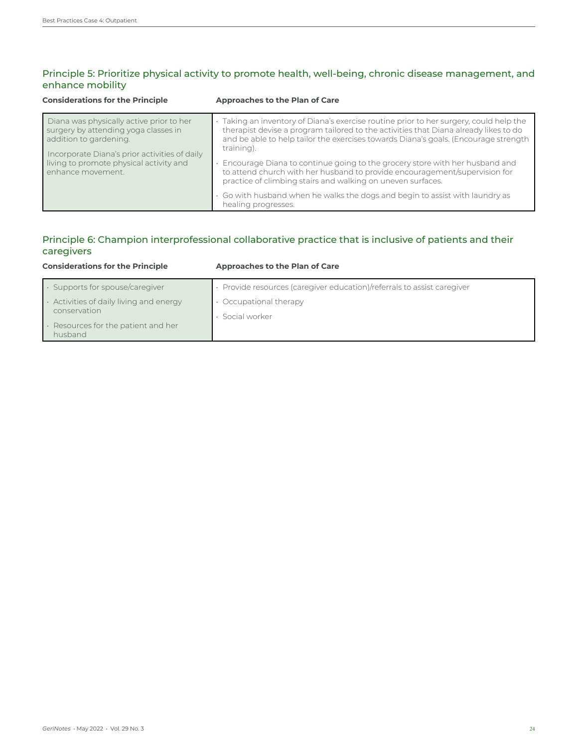# Principle 5: Prioritize physical activity to promote health, well-being, chronic disease management, and enhance mobility

| <b>Considerations for the Principle</b>                                                                                                                                                                                     | Approaches to the Plan of Care                                                                                                                                                                                                                                                                                                                                                                                                                                                                                                                                                                                     |
|-----------------------------------------------------------------------------------------------------------------------------------------------------------------------------------------------------------------------------|--------------------------------------------------------------------------------------------------------------------------------------------------------------------------------------------------------------------------------------------------------------------------------------------------------------------------------------------------------------------------------------------------------------------------------------------------------------------------------------------------------------------------------------------------------------------------------------------------------------------|
| Diana was physically active prior to her<br>surgery by attending yoga classes in<br>addition to gardening.<br>Incorporate Diana's prior activities of daily<br>living to promote physical activity and<br>enhance movement. | Taking an inventory of Diana's exercise routine prior to her surgery, could help the<br>therapist devise a program tailored to the activities that Diana already likes to do<br>and be able to help tailor the exercises towards Diana's goals. (Encourage strength<br>training).<br>Encourage Diana to continue going to the grocery store with her husband and<br>to attend church with her husband to provide encouragement/supervision for<br>practice of climbing stairs and walking on uneven surfaces.<br>Go with husband when he walks the dogs and begin to assist with laundry as<br>healing progresses. |

# Principle 6: Champion interprofessional collaborative practice that is inclusive of patients and their caregivers

| <b>Considerations for the Principle</b>                       | Approaches to the Plan of Care                                        |
|---------------------------------------------------------------|-----------------------------------------------------------------------|
| $\cdot$ Supports for spouse/caregiver                         | Provide resources (caregiver education)/referrals to assist caregiver |
| $\cdot$ Activities of daily living and energy<br>conservation | Occupational therapy<br>Social worker                                 |
| $\cdot$ Resources for the patient and her<br>husband          |                                                                       |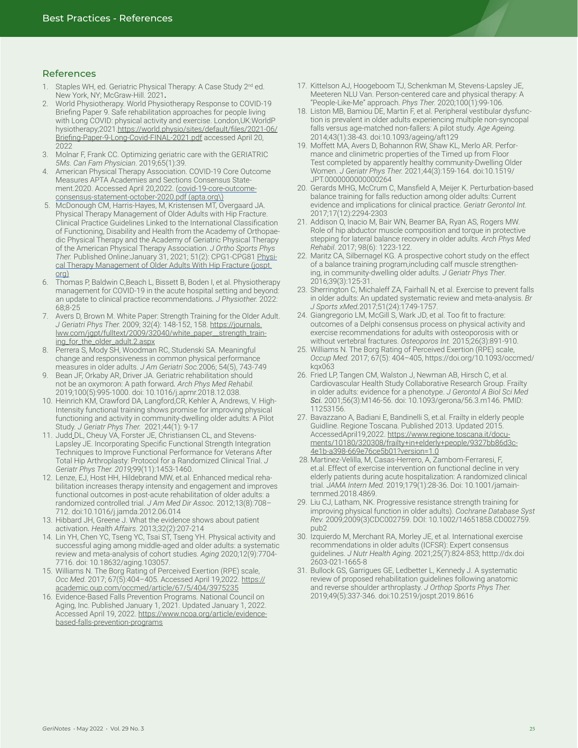#### **References**

- 1. Staples WH, ed. Geriatric Physical Therapy: A Case Study 2<sup>nd</sup> ed. New York, NY; McGraw-Hill. 2021**.**
- 2. World Physiotherapy. World Physiotherapy Response to COVID-19 Briefing Paper 9. Safe rehabilitation approaches for people living with Long COVID: physical activity and exercise. London,UK:WorldP hysiotherapy;2021.[https://world.physio/sites/default/files/2021-06/](https://world.physio/sites/default/files/2021-06/Briefing-Paper-9-Long-Covid-FINAL-2021.pdf) [Briefing-Paper-9-Long-Covid-FINAL-2021.pdf](https://world.physio/sites/default/files/2021-06/Briefing-Paper-9-Long-Covid-FINAL-2021.pdf) accessed April 20, 2022
- 3. Molnar F, Frank CC. Optimizing geriatric care with the GERIATRIC *5Ms. Can Fam Physician*. 2019;65(1):39.
- 4. American Physical Therapy Association. COVID-19 Core Outcome Measures APTA Academies and Sections Consensus Statement.2020. Accessed April 20,2022. ([covid-19-core-outcome](https://www.apta.org/contentassets/1a6e0ee7cd25403888d2959c1c8476cd/covid-19-core-outcome-consensus-statement-october-2020.pdf)[consensus-statement-october-2020.pdf \(apta.org](https://www.apta.org/contentassets/1a6e0ee7cd25403888d2959c1c8476cd/covid-19-core-outcome-consensus-statement-october-2020.pdf)\)
- 5. McDonough CM, Harris-Hayes, M, Kristensen MT, Overgaard JA. Physical Therapy Management of Older Adults with Hip Fracture. Clinical Practice Guidelines Linked to the International Classification of Functioning, Disability and Health from the Academy of Orthopaedic Physical Therapy and the Academy of Geriatric Physical Therapy of the American Physical Therapy Association. *J Ortho Sports Phys Ther.* Published Online:January 31, 2021; 51(2): CPG1-CPG81 [Physi](https://www.jospt.org/doi/pdf/10.2519/jospt.2021.0301)[cal Therapy Management of Older Adults With Hip Fracture \(jospt.](https://www.jospt.org/doi/pdf/10.2519/jospt.2021.0301) [org\)](https://www.jospt.org/doi/pdf/10.2519/jospt.2021.0301)
- 6. Thomas P, Baldwin C,Beach L, Bissett B, Boden I, et al. Physiotherapy management for COVID-19 in the acute hospital setting and beyond: an update to clinical practice recommendations*. J Physiother.* 2022: 68;8-25
- 7. Avers D, Brown M. White Paper: Strength Training for the Older Adult. *J Geriatri Phys Ther.* 2009; 32(4): 148-152, 158. [https://journals.](https://journals.lww.com/jgpt/fulltext/2009/32040/white_paper__strength_training_for_the_older_adult.2.aspx) [lww.com/jgpt/fulltext/2009/32040/white\\_paper\\_\\_strength\\_train](https://journals.lww.com/jgpt/fulltext/2009/32040/white_paper__strength_training_for_the_older_adult.2.aspx)[ing\\_for\\_the\\_older\\_adult.2.aspx](https://journals.lww.com/jgpt/fulltext/2009/32040/white_paper__strength_training_for_the_older_adult.2.aspx)
- 8. Perrera S, Mody SH, Woodman RC, Studenski SA. Meaningful change and responsiveness in common physical performance measures in older adults. *J Am Geriatri Soc.*2006; 54(5), 743-749
- 9. Bean JF, Orkaby AR, Driver JA. Geriatric rehabilitation should not be an oxymoron: A path forward*. Arch Phys Med Rehabil.*  2019;100(5):995-1000. doi: 10.1016/j.apmr.2018.12.038.
- 10. Heinrich KM, Crawford DA, Langford,CR, Kehler A, Andrews, V. High-Intensity functional training shows promise for improving physical functioning and activity in community-dwelling older adults: A Pilot Study. *J Geriatr Phys Ther.*  [2021;44\(1\): 9-17](about:blank)
- 11. [Judd](https://www.ncbi.nlm.nih.gov/pubmed/?term=Judd%20DL%5BAuthor%5D&cauthor=true&cauthor_uid=31392991)\_DL, Cheuy VA, Forster JE, Christiansen CL, and [Stevens-](https://www.ncbi.nlm.nih.gov/pubmed/?term=Stevens-Lapsley%20JE%5BAuthor%5D&cauthor=true&cauthor_uid=31392991)[Lapsley](https://www.ncbi.nlm.nih.gov/pubmed/?term=Stevens-Lapsley%20JE%5BAuthor%5D&cauthor=true&cauthor_uid=31392991) JE. Incorporating Specific Functional Strength Integration Techniques to Improve Functional Performance for Veterans After Total Hip Arthroplasty: Protocol for a Randomized Clinical Trial. *J Geriatr Phys Ther. 2019;*99(11):1453-1460.
- 12. Lenze, EJ, Host HH, Hildebrand MW, et.al. Enhanced medical rehabilitation increases therapy intensity and engagement and improves functional outcomes in post-acute rehabilitation of older adults: a randomized controlled trial. *J Am Med Dir Assoc.* 2012;13(8):708– 712. doi:10.1016/j.jamda.2012.06.014
- 13. Hibbard JH, Greene J. What the evidence shows about patient activation*. Health Affairs.* 2013;32(2):207-214
- 14. Lin YH, Chen YC, Tseng YC, Tsai ST, Tseng YH. Physical activity and successful aging among middle-aged and older adults: a systematic review and meta-analysis of cohort studies. *Aging* 2020;12(9):7704- 7716. doi: 10.18632/aging.103057.
- 15. Williams N. The Borg Rating of Perceived Exertion (RPE) scale, *Occ Med.* 2017; 67(5):404–405. Accessed April 19,2022. [https://](https://academic.oup.com/occmed/article/67/5/404/3975235) [academic.oup.com/occmed/article/67/5/404/3975235](https://academic.oup.com/occmed/article/67/5/404/3975235)
- 16. Evidence-Based Falls Prevention Programs. National Council on Aging, Inc. Published January 1, 2021. Updated January 1, 2022. Accessed April 19, 2022. [https://www.ncoa.org/article/evidence](https://www.ncoa.org/article/evidence-based-falls-prevention-programs)[based-falls-prevention-programs](https://www.ncoa.org/article/evidence-based-falls-prevention-programs)
- 17. Kittelson AJ, Hoogeboom TJ, Schenkman M, Stevens-Lapsley JE, Meeteren NLU Van. Person-centered care and physical therapy: A "People-Like-Me" approach. *Phys Ther.* 2020;100(1):99-106.
- 18. Liston MB, Bamiou DE, Martin F, et al. Peripheral vestibular dysfunction is prevalent in older adults experiencing multiple non-syncopal falls versus age-matched non-fallers: A pilot study. *Age Ageing.*  2014;43(1):38-43. doi:10.1093/ageing/aft129
- 19. Moffett MA, Avers D, Bohannon RW, Shaw KL, Merlo AR. Performance and clinimetric properties of the Timed up from Floor Test completed by apparently healthy community-Dwelling Older Women. *J Geriatr Phys Ther.* 2021;44(3):159-164. doi:10.1519/ JPT.0000000000000264
- 20. Gerards MHG, McCrum C, Mansfield A, Meijer K. Perturbation-based balance training for falls reduction among older adults: Current evidence and implications for clinical practice. *Geriatr Gerontol Int.*  2017;17(12):2294-2303
- 21. Addison O, Inacio M, Bair WN, Beamer BA, Ryan AS, Rogers MW. Role of hip abductor muscle composition and torque in protective stepping for lateral balance recovery in older adults. *Arch Phys Med Rehabil*. 2017; 98(6): 1223-122.
- 22. Maritz CA, Silbernagel KG. A prospective cohort study on the effect of a balance training program,including calf muscle strengthening, in community-dwelling older adults. *J Geriatr Phys Ther*. 2016;39(3):125-31.
- 23. Sherrington C, Michaleff ZA, Fairhall N, et al. Exercise to prevent falls in older adults: An updated systematic review and meta-analysis. *Br J Sports xMed.*2017;51(24):1749-1757.
- 24. Giangregorio LM, McGill S, Wark JD, et al. Too fit to fracture: outcomes of a Delphi consensus process on physical activity and exercise recommendations for adults with osteoporosis with or without vertebral fractures. *Osteoporos Int.* 2015;26(3):891-910.
- 25. Williams N. The Borg Rating of Perceived Exertion (RPE) scale, *Occup Med.* 2017; 67(5): 404–405, [https://doi.org/10.1093/occmed/](about:blank) kgx063
- 26. Fried LP, Tangen CM, Walston J, Newman AB, Hirsch C, et al. Cardiovascular Health Study Collaborative Research Group. Frailty in older adults: evidence for a phenotype. *J Gerontol A Biol Sci Med Sci.* 2001;56(3):M146-56. doi: 10.1093/gerona/56.3.m146. PMID: 11253156.
- 27. Bavazzano A, Badiani E, Bandinelli S, et.al. Frailty in elderly people Guidline. Regione Toscana. Published 2013. Updated 2015. AccessedApril19,2022. [https://www.regione.toscana.it/docu](https://www.regione.toscana.it/documents/10180/320308/frailty+in+elderly+people/9327bb86d3c-4e1b-a398-669e76ce5b01?version=1.0)[ments/10180/320308/frailty+in+elderly+people/9327bb86d3c-](https://www.regione.toscana.it/documents/10180/320308/frailty+in+elderly+people/9327bb86d3c-4e1b-a398-669e76ce5b01?version=1.0)[4e1b-a398-669e76ce5b01?version=1.0](https://www.regione.toscana.it/documents/10180/320308/frailty+in+elderly+people/9327bb86d3c-4e1b-a398-669e76ce5b01?version=1.0)
- 28. Martinez-Velilla, M, Casas-Herrero, A, Zambom-Ferraresi, F, et.al. Effect of exercise intervention on functional decline in very elderly patients during acute hospitalization: A randomized clinical trial. *JAMA Intern Med.* 2019;179(1):28-36. Doi: 10.1001/jamainternmed.2018.4869.
- 29. Liu CJ, Latham, NK. Progressive resistance strength training for improving physical function in older adults). *Cochrane Database Syst Rev.* 2009;2009(3)CDC002759. DOI: 10.1002/14651858.CD002759. pub2
- 30. Izquierdo M, Merchant RA, Morley JE, et al. International exercise recommendations in older adults (ICFSR): Expert consensus guidelines. *J Nutr Health Aging*. 2021;25(7):824-853; htttp://dx.doi 2603-021-1665-8
- 31. Bullock GS, Garrigues GE, Ledbetter L, Kennedy J. A systematic review of proposed rehabilitation guidelines following anatomic and reverse shoulder arthroplasty. *J Orthop Sports Phys Ther.*  2019;49(5):337-346. doi:10.2519/jospt.2019.8616